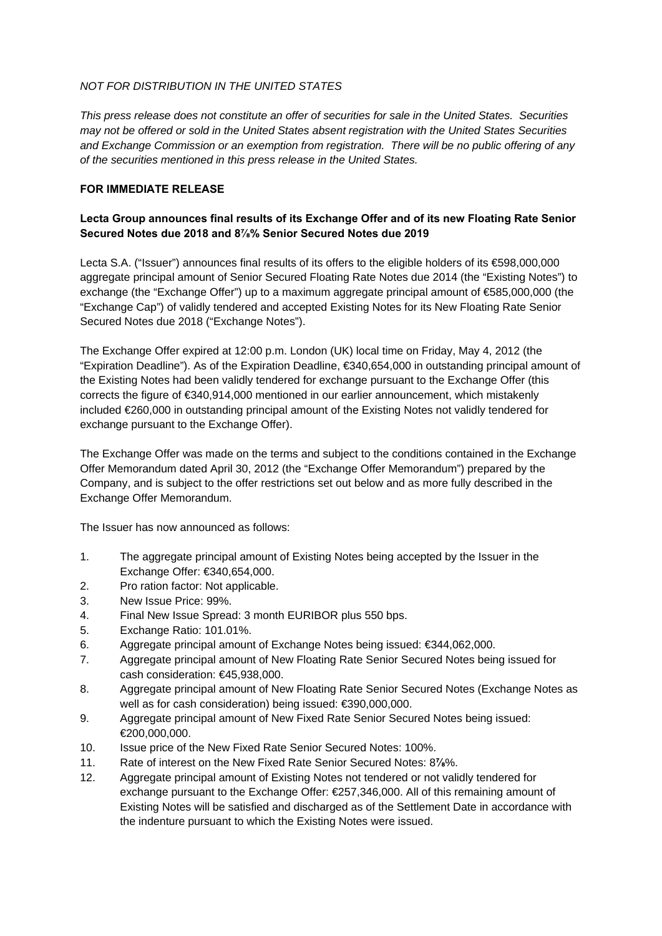# *NOT FOR DISTRIBUTION IN THE UNITED STATES*

*This press release does not constitute an offer of securities for sale in the United States. Securities may not be offered or sold in the United States absent registration with the United States Securities and Exchange Commission or an exemption from registration. There will be no public offering of any of the securities mentioned in this press release in the United States.* 

## **FOR IMMEDIATE RELEASE**

# **Lecta Group announces final results of its Exchange Offer and of its new Floating Rate Senior Secured Notes due 2018 and 8⅞% Senior Secured Notes due 2019**

Lecta S.A. ("Issuer") announces final results of its offers to the eligible holders of its €598,000,000 aggregate principal amount of Senior Secured Floating Rate Notes due 2014 (the "Existing Notes") to exchange (the "Exchange Offer") up to a maximum aggregate principal amount of €585,000,000 (the "Exchange Cap") of validly tendered and accepted Existing Notes for its New Floating Rate Senior Secured Notes due 2018 ("Exchange Notes").

The Exchange Offer expired at 12:00 p.m. London (UK) local time on Friday, May 4, 2012 (the "Expiration Deadline"). As of the Expiration Deadline, €340,654,000 in outstanding principal amount of the Existing Notes had been validly tendered for exchange pursuant to the Exchange Offer (this corrects the figure of €340,914,000 mentioned in our earlier announcement, which mistakenly included €260,000 in outstanding principal amount of the Existing Notes not validly tendered for exchange pursuant to the Exchange Offer).

The Exchange Offer was made on the terms and subject to the conditions contained in the Exchange Offer Memorandum dated April 30, 2012 (the "Exchange Offer Memorandum") prepared by the Company, and is subject to the offer restrictions set out below and as more fully described in the Exchange Offer Memorandum.

The Issuer has now announced as follows:

- 1. The aggregate principal amount of Existing Notes being accepted by the Issuer in the Exchange Offer: €340,654,000.
- 2. Pro ration factor: Not applicable.
- 3. New Issue Price: 99%.
- 4. Final New Issue Spread: 3 month EURIBOR plus 550 bps.
- 5. Exchange Ratio: 101.01%.
- 6. Aggregate principal amount of Exchange Notes being issued: €344,062,000.
- 7. Aggregate principal amount of New Floating Rate Senior Secured Notes being issued for cash consideration: €45,938,000.
- 8. Aggregate principal amount of New Floating Rate Senior Secured Notes (Exchange Notes as well as for cash consideration) being issued: €390,000,000.
- 9. Aggregate principal amount of New Fixed Rate Senior Secured Notes being issued: €200,000,000.
- 10. Issue price of the New Fixed Rate Senior Secured Notes: 100%.
- 11. Rate of interest on the New Fixed Rate Senior Secured Notes: 8**⅞**%.
- 12. Aggregate principal amount of Existing Notes not tendered or not validly tendered for exchange pursuant to the Exchange Offer: €257,346,000. All of this remaining amount of Existing Notes will be satisfied and discharged as of the Settlement Date in accordance with the indenture pursuant to which the Existing Notes were issued.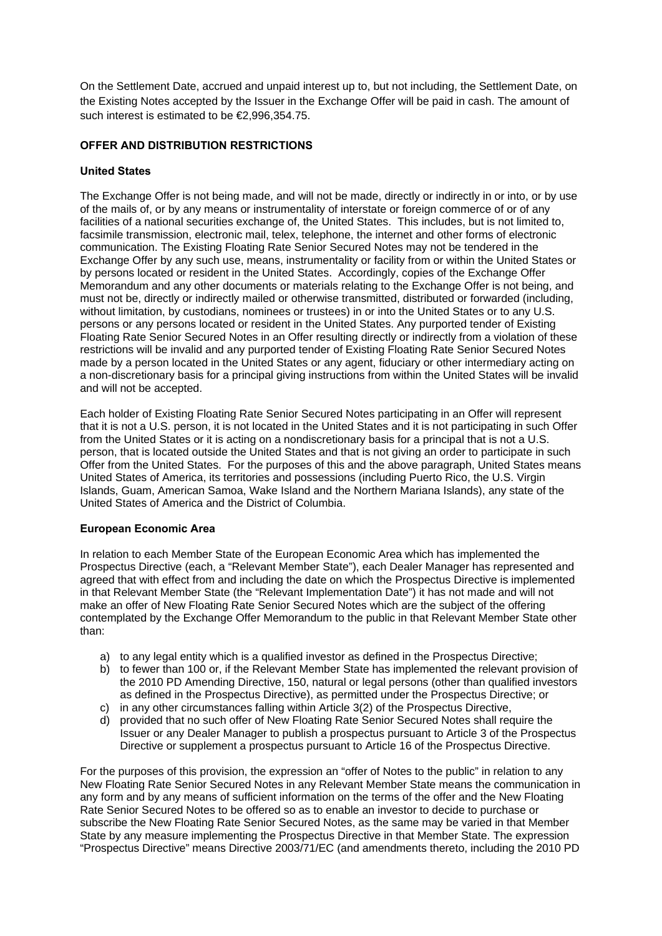On the Settlement Date, accrued and unpaid interest up to, but not including, the Settlement Date, on the Existing Notes accepted by the Issuer in the Exchange Offer will be paid in cash. The amount of such interest is estimated to be €2,996,354.75.

### **OFFER AND DISTRIBUTION RESTRICTIONS**

## **United States**

The Exchange Offer is not being made, and will not be made, directly or indirectly in or into, or by use of the mails of, or by any means or instrumentality of interstate or foreign commerce of or of any facilities of a national securities exchange of, the United States. This includes, but is not limited to, facsimile transmission, electronic mail, telex, telephone, the internet and other forms of electronic communication. The Existing Floating Rate Senior Secured Notes may not be tendered in the Exchange Offer by any such use, means, instrumentality or facility from or within the United States or by persons located or resident in the United States. Accordingly, copies of the Exchange Offer Memorandum and any other documents or materials relating to the Exchange Offer is not being, and must not be, directly or indirectly mailed or otherwise transmitted, distributed or forwarded (including, without limitation, by custodians, nominees or trustees) in or into the United States or to any U.S. persons or any persons located or resident in the United States. Any purported tender of Existing Floating Rate Senior Secured Notes in an Offer resulting directly or indirectly from a violation of these restrictions will be invalid and any purported tender of Existing Floating Rate Senior Secured Notes made by a person located in the United States or any agent, fiduciary or other intermediary acting on a non-discretionary basis for a principal giving instructions from within the United States will be invalid and will not be accepted.

Each holder of Existing Floating Rate Senior Secured Notes participating in an Offer will represent that it is not a U.S. person, it is not located in the United States and it is not participating in such Offer from the United States or it is acting on a nondiscretionary basis for a principal that is not a U.S. person, that is located outside the United States and that is not giving an order to participate in such Offer from the United States. For the purposes of this and the above paragraph, United States means United States of America, its territories and possessions (including Puerto Rico, the U.S. Virgin Islands, Guam, American Samoa, Wake Island and the Northern Mariana Islands), any state of the United States of America and the District of Columbia.

### **European Economic Area**

In relation to each Member State of the European Economic Area which has implemented the Prospectus Directive (each, a "Relevant Member State"), each Dealer Manager has represented and agreed that with effect from and including the date on which the Prospectus Directive is implemented in that Relevant Member State (the "Relevant Implementation Date") it has not made and will not make an offer of New Floating Rate Senior Secured Notes which are the subject of the offering contemplated by the Exchange Offer Memorandum to the public in that Relevant Member State other than:

- a) to any legal entity which is a qualified investor as defined in the Prospectus Directive;
- b) to fewer than 100 or, if the Relevant Member State has implemented the relevant provision of the 2010 PD Amending Directive, 150, natural or legal persons (other than qualified investors as defined in the Prospectus Directive), as permitted under the Prospectus Directive; or
- c) in any other circumstances falling within Article 3(2) of the Prospectus Directive,
- d) provided that no such offer of New Floating Rate Senior Secured Notes shall require the Issuer or any Dealer Manager to publish a prospectus pursuant to Article 3 of the Prospectus Directive or supplement a prospectus pursuant to Article 16 of the Prospectus Directive.

For the purposes of this provision, the expression an "offer of Notes to the public" in relation to any New Floating Rate Senior Secured Notes in any Relevant Member State means the communication in any form and by any means of sufficient information on the terms of the offer and the New Floating Rate Senior Secured Notes to be offered so as to enable an investor to decide to purchase or subscribe the New Floating Rate Senior Secured Notes, as the same may be varied in that Member State by any measure implementing the Prospectus Directive in that Member State. The expression "Prospectus Directive" means Directive 2003/71/EC (and amendments thereto, including the 2010 PD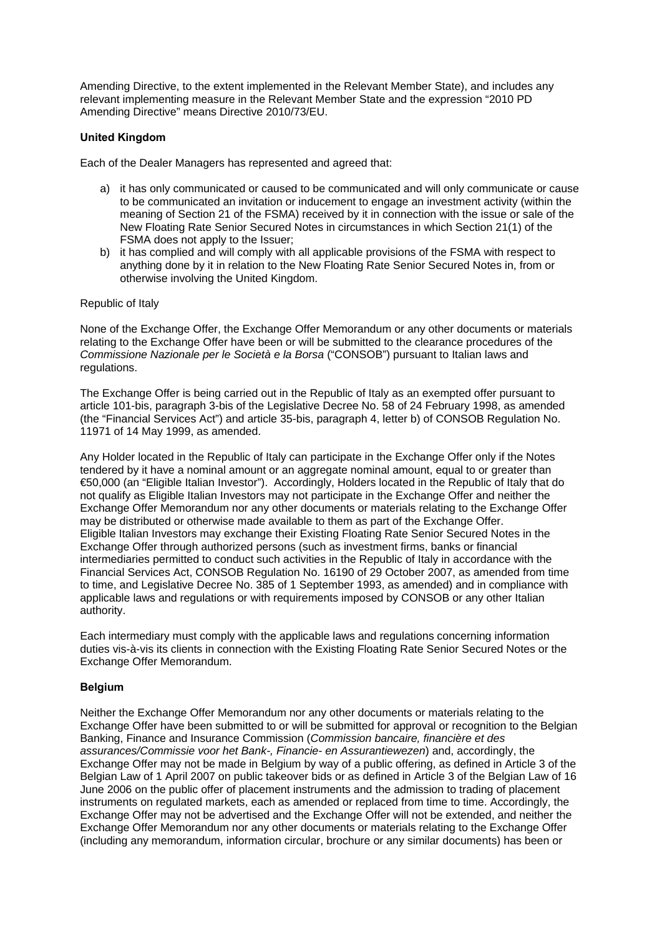Amending Directive, to the extent implemented in the Relevant Member State), and includes any relevant implementing measure in the Relevant Member State and the expression "2010 PD Amending Directive" means Directive 2010/73/EU.

### **United Kingdom**

Each of the Dealer Managers has represented and agreed that:

- a) it has only communicated or caused to be communicated and will only communicate or cause to be communicated an invitation or inducement to engage an investment activity (within the meaning of Section 21 of the FSMA) received by it in connection with the issue or sale of the New Floating Rate Senior Secured Notes in circumstances in which Section 21(1) of the FSMA does not apply to the Issuer:
- b) it has complied and will comply with all applicable provisions of the FSMA with respect to anything done by it in relation to the New Floating Rate Senior Secured Notes in, from or otherwise involving the United Kingdom.

#### Republic of Italy

None of the Exchange Offer, the Exchange Offer Memorandum or any other documents or materials relating to the Exchange Offer have been or will be submitted to the clearance procedures of the *Commissione Nazionale per le Società e la Borsa* ("CONSOB") pursuant to Italian laws and regulations.

The Exchange Offer is being carried out in the Republic of Italy as an exempted offer pursuant to article 101-bis, paragraph 3-bis of the Legislative Decree No. 58 of 24 February 1998, as amended (the "Financial Services Act") and article 35-bis, paragraph 4, letter b) of CONSOB Regulation No. 11971 of 14 May 1999, as amended.

Any Holder located in the Republic of Italy can participate in the Exchange Offer only if the Notes tendered by it have a nominal amount or an aggregate nominal amount, equal to or greater than €50,000 (an "Eligible Italian Investor"). Accordingly, Holders located in the Republic of Italy that do not qualify as Eligible Italian Investors may not participate in the Exchange Offer and neither the Exchange Offer Memorandum nor any other documents or materials relating to the Exchange Offer may be distributed or otherwise made available to them as part of the Exchange Offer. Eligible Italian Investors may exchange their Existing Floating Rate Senior Secured Notes in the Exchange Offer through authorized persons (such as investment firms, banks or financial intermediaries permitted to conduct such activities in the Republic of Italy in accordance with the Financial Services Act, CONSOB Regulation No. 16190 of 29 October 2007, as amended from time to time, and Legislative Decree No. 385 of 1 September 1993, as amended) and in compliance with applicable laws and regulations or with requirements imposed by CONSOB or any other Italian authority.

Each intermediary must comply with the applicable laws and regulations concerning information duties vis-à-vis its clients in connection with the Existing Floating Rate Senior Secured Notes or the Exchange Offer Memorandum.

### **Belgium**

Neither the Exchange Offer Memorandum nor any other documents or materials relating to the Exchange Offer have been submitted to or will be submitted for approval or recognition to the Belgian Banking, Finance and Insurance Commission (*Commission bancaire, financière et des assurances/Commissie voor het Bank-, Financie- en Assurantiewezen*) and, accordingly, the Exchange Offer may not be made in Belgium by way of a public offering, as defined in Article 3 of the Belgian Law of 1 April 2007 on public takeover bids or as defined in Article 3 of the Belgian Law of 16 June 2006 on the public offer of placement instruments and the admission to trading of placement instruments on regulated markets, each as amended or replaced from time to time. Accordingly, the Exchange Offer may not be advertised and the Exchange Offer will not be extended, and neither the Exchange Offer Memorandum nor any other documents or materials relating to the Exchange Offer (including any memorandum, information circular, brochure or any similar documents) has been or